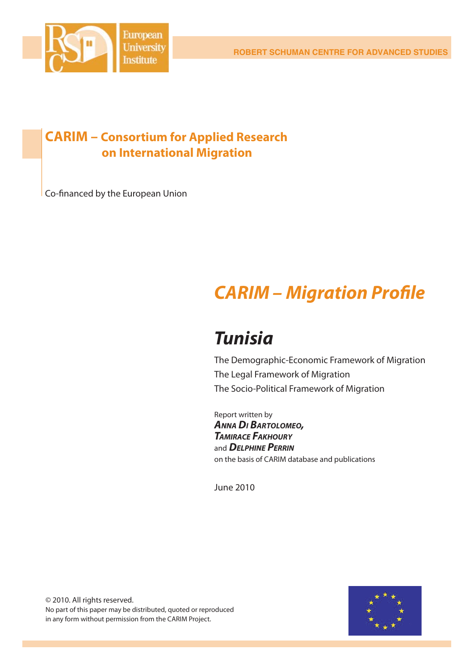

### **CARIM – Consortium for Applied Research on International Migration**

Co-financed by the European Union

# *CARIM – Migration Profi le*

## *Tunisia*

The Demographic-Economic Framework of Migration The Legal Framework of Migration The Socio-Political Framework of Migration

Report written by *ANNA DI BARTOLOMEO, TAMIRACE FAKHOURY* and *DELPHINE PERRIN* on the basis of CARIM database and publications

June 2010

© 2010. All rights reserved. No part of this paper may be distributed, quoted or reproduced in any form without permission from the CARIM Project.

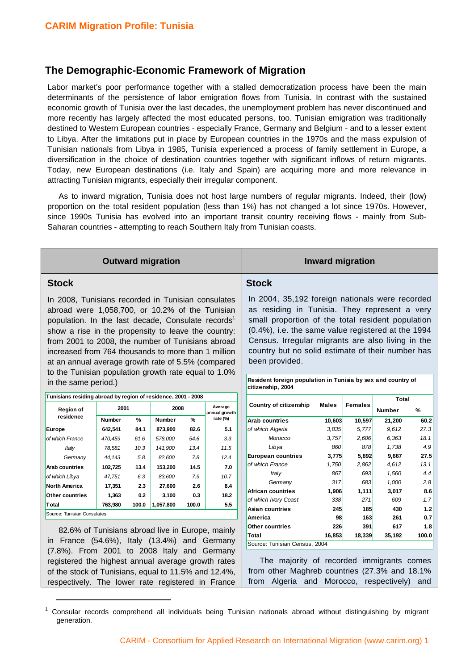1

#### **The Demographic-Economic Framework of Migration**

Labor market's poor performance together with a stalled democratization process have been the main determinants of the persistence of labor emigration flows from Tunisia. In contrast with the sustained economic growth of Tunisia over the last decades, the unemployment problem has never discontinued and more recently has largely affected the most educated persons, too. Tunisian emigration was traditionally destined to Western European countries - especially France, Germany and Belgium - and to a lesser extent to Libya. After the limitations put in place by European countries in the 1970s and the mass expulsion of Tunisian nationals from Libya in 1985, Tunisia experienced a process of family settlement in Europe, a diversification in the choice of destination countries together with significant inflows of return migrants. Today, new European destinations (i.e. Italy and Spain) are acquiring more and more relevance in attracting Tunisian migrants, especially their irregular component.

As to inward migration, Tunisia does not host large numbers of regular migrants. Indeed, their (low) proportion on the total resident population (less than 1%) has not changed a lot since 1970s. However, since 1990s Tunisia has evolved into an important transit country receiving flows - mainly from Sub-Saharan countries - attempting to reach Southern Italy from Tunisian coasts.

| <b>Outward migration</b>                                                                                                                                                                                                                                                                                                                                                                                                                                 |               |                               |               |                |                                                                                                                                                                                                                                                                                                                                                                                                         | <b>Inward migration</b>                   |        |              |               |            |
|----------------------------------------------------------------------------------------------------------------------------------------------------------------------------------------------------------------------------------------------------------------------------------------------------------------------------------------------------------------------------------------------------------------------------------------------------------|---------------|-------------------------------|---------------|----------------|---------------------------------------------------------------------------------------------------------------------------------------------------------------------------------------------------------------------------------------------------------------------------------------------------------------------------------------------------------------------------------------------------------|-------------------------------------------|--------|--------------|---------------|------------|
| <b>Stock</b>                                                                                                                                                                                                                                                                                                                                                                                                                                             |               |                               |               |                | <b>Stock</b>                                                                                                                                                                                                                                                                                                                                                                                            |                                           |        |              |               |            |
| In 2008, Tunisians recorded in Tunisian consulates<br>abroad were 1,058,700, or 10.2% of the Tunisian<br>population. In the last decade, Consulate records <sup>1</sup><br>show a rise in the propensity to leave the country:<br>from 2001 to 2008, the number of Tunisians abroad<br>increased from 764 thousands to more than 1 million<br>at an annual average growth rate of 5.5% (compared<br>to the Tunisian population growth rate equal to 1.0% |               |                               |               |                | In 2004, 35,192 foreign nationals were recorded<br>as residing in Tunisia. They represent a very<br>small proportion of the total resident population<br>(0.4%), i.e. the same value registered at the 1994<br>Census. Irregular migrants are also living in the<br>country but no solid estimate of their number has<br>been provided.<br>Resident foreign population in Tunisia by sex and country of |                                           |        |              |               |            |
| in the same period.)                                                                                                                                                                                                                                                                                                                                                                                                                                     |               |                               |               |                | citizenship, 2004                                                                                                                                                                                                                                                                                                                                                                                       |                                           |        |              |               |            |
| Tunisians residing abroad by region of residence, 2001 - 2008                                                                                                                                                                                                                                                                                                                                                                                            |               | <b>Country of citizenship</b> | Males         | <b>Females</b> | Total                                                                                                                                                                                                                                                                                                                                                                                                   |                                           |        |              |               |            |
| Region of<br>residence                                                                                                                                                                                                                                                                                                                                                                                                                                   | 2001          |                               | 2008          |                | Average<br>annual growth                                                                                                                                                                                                                                                                                                                                                                                |                                           |        |              | <b>Number</b> | ℅          |
|                                                                                                                                                                                                                                                                                                                                                                                                                                                          | <b>Number</b> | %                             | <b>Number</b> | %              | rate (%)                                                                                                                                                                                                                                                                                                                                                                                                | <b>Arab countries</b>                     | 10,603 | 10,597       | 21,200        | 60.2       |
| Europe                                                                                                                                                                                                                                                                                                                                                                                                                                                   | 642,541       | 84.1                          | 873,900       | 82.6           | 5.1                                                                                                                                                                                                                                                                                                                                                                                                     | of which Algeria                          | 3,835  | 5,777        | 9,612         | 27.3       |
| of which France                                                                                                                                                                                                                                                                                                                                                                                                                                          | 470,459       | 61.6                          | 578,000       | 54.6           | 3.3                                                                                                                                                                                                                                                                                                                                                                                                     | Morocco                                   | 3,757  | 2,606        | 6,363         | 18.1       |
| Italy                                                                                                                                                                                                                                                                                                                                                                                                                                                    | 78,581        | 10.3                          | 141,900       | 13.4           | 11.5                                                                                                                                                                                                                                                                                                                                                                                                    | Libya                                     | 860    | 878          | 1,738         | 4.9        |
| Germany                                                                                                                                                                                                                                                                                                                                                                                                                                                  | 44,143        | 5.8                           | 82,600        | 7.8            | 12.4                                                                                                                                                                                                                                                                                                                                                                                                    | <b>European countries</b>                 | 3,775  | 5,892        | 9,667         | 27.5       |
| <b>Arab countries</b>                                                                                                                                                                                                                                                                                                                                                                                                                                    | 102,725       | 13.4                          | 153,200       | 14.5           | 7.0                                                                                                                                                                                                                                                                                                                                                                                                     | of which France                           | 1,750  | 2,862        | 4,612         | 13.1       |
| of which Libya                                                                                                                                                                                                                                                                                                                                                                                                                                           | 47,751        | 6.3                           | 83,600        | 7.9            | 10.7                                                                                                                                                                                                                                                                                                                                                                                                    | Italy                                     | 867    | 693          | 1,560         | 4.4        |
| <b>North America</b>                                                                                                                                                                                                                                                                                                                                                                                                                                     | 17,351        | 2.3                           | 27,600        | 2.6            | 8.4                                                                                                                                                                                                                                                                                                                                                                                                     | Germany                                   | 317    | 683          | 1,000         | 2.8        |
| Other countries                                                                                                                                                                                                                                                                                                                                                                                                                                          | 1,363         | 0.2                           | 3,100         | 0.3            | 18.2                                                                                                                                                                                                                                                                                                                                                                                                    | African countries                         | 1,906  | 1,111<br>271 | 3,017<br>609  | 8.6<br>1.7 |
| Total                                                                                                                                                                                                                                                                                                                                                                                                                                                    | 763.980       | 100.0                         | 1,057,800     | 100.0          | 5.5                                                                                                                                                                                                                                                                                                                                                                                                     | of which Ivory Coast<br>Asian countries   | 338    |              | 430           | $1.2$      |
| Source: Tunisian Consulates                                                                                                                                                                                                                                                                                                                                                                                                                              |               |                               |               | America        | 245<br>98                                                                                                                                                                                                                                                                                                                                                                                               | 185<br>163                                | 261    | 0.7          |               |            |
|                                                                                                                                                                                                                                                                                                                                                                                                                                                          |               |                               |               |                | Other countries                                                                                                                                                                                                                                                                                                                                                                                         | 226                                       | 391    | 617          | 1.8           |            |
| 82.6% of Tunisians abroad live in Europe, mainly                                                                                                                                                                                                                                                                                                                                                                                                         |               |                               |               | Total          | 16,853                                                                                                                                                                                                                                                                                                                                                                                                  | 18,339                                    | 35,192 | 100.0        |               |            |
| in France (54.6%), Italy (13.4%) and Germany<br>Source: Tunisian Census, 2004                                                                                                                                                                                                                                                                                                                                                                            |               |                               |               |                |                                                                                                                                                                                                                                                                                                                                                                                                         |                                           |        |              |               |            |
| (7.8%). From 2001 to 2008 Italy and Germany                                                                                                                                                                                                                                                                                                                                                                                                              |               |                               |               |                |                                                                                                                                                                                                                                                                                                                                                                                                         |                                           |        |              |               |            |
| registered the highest annual average growth rates                                                                                                                                                                                                                                                                                                                                                                                                       |               |                               |               |                |                                                                                                                                                                                                                                                                                                                                                                                                         | The majority of recorded immigrants comes |        |              |               |            |
| of the stock of Tunisians, equal to 11.5% and 12.4%,                                                                                                                                                                                                                                                                                                                                                                                                     |               |                               |               |                | from other Maghreb countries (27.3% and 18.1%                                                                                                                                                                                                                                                                                                                                                           |                                           |        |              |               |            |

Consular records comprehend all individuals being Tunisian nationals abroad without distinguishing by migrant generation.

respectively. The lower rate registered in France | from Algeria and Morocco, respectively) and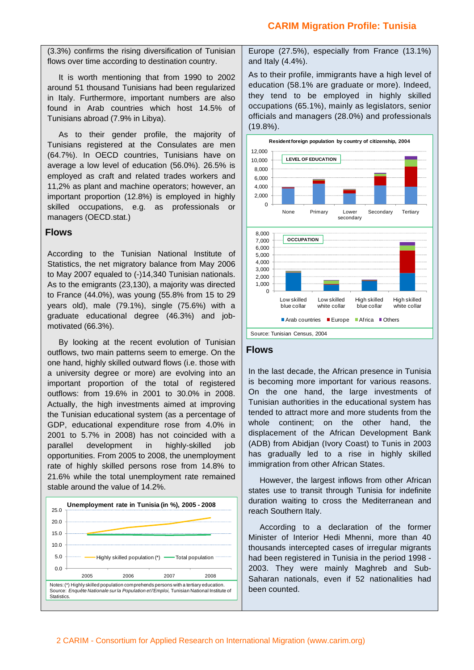(3.3%) confirms the rising diversification of Tunisian flows over time according to destination country.

It is worth mentioning that from 1990 to 2002 around 51 thousand Tunisians had been regularized in Italy. Furthermore, important numbers are also found in Arab countries which host 14.5% of Tunisians abroad (7.9% in Libya).

As to their gender profile, the majority of Tunisians registered at the Consulates are men (64.7%). In OECD countries, Tunisians have on average a low level of education (56.0%). 26.5% is employed as craft and related trades workers and 11,2% as plant and machine operators; however, an important proportion (12.8%) is employed in highly skilled occupations, e.g. as professionals or managers (OECD.stat.)

#### **Flows**

According to the Tunisian National Institute of Statistics, the net migratory balance from May 2006 to May 2007 equaled to (-)14,340 Tunisian nationals. As to the emigrants (23,130), a majority was directed to France (44.0%), was young (55.8% from 15 to 29 years old), male (79.1%), single (75.6%) with a graduate educational degree (46.3%) and jobmotivated (66.3%).

By looking at the recent evolution of Tunisian outflows, two main patterns seem to emerge. On the one hand, highly skilled outward flows (i.e. those with a university degree or more) are evolving into an important proportion of the total of registered outflows: from 19.6% in 2001 to 30.0% in 2008. Actually, the high investments aimed at improving the Tunisian educational system (as a percentage of GDP, educational expenditure rose from 4.0% in 2001 to 5.7% in 2008) has not coincided with a parallel development in highly-skilled job opportunities. From 2005 to 2008, the unemployment rate of highly skilled persons rose from 14.8% to 21.6% while the total unemployment rate remained stable around the value of 14.2%.



Europe (27.5%), especially from France (13.1%) and Italy (4.4%).

As to their profile, immigrants have a high level of education (58.1% are graduate or more). Indeed, they tend to be employed in highly skilled occupations (65.1%), mainly as legislators, senior officials and managers (28.0%) and professionals (19.8%).



#### **Flows**

In the last decade, the African presence in Tunisia is becoming more important for various reasons. On the one hand, the large investments of Tunisian authorities in the educational system has tended to attract more and more students from the whole continent; on the other hand, the displacement of the African Development Bank (ADB) from Abidjan (Ivory Coast) to Tunis in 2003 has gradually led to a rise in highly skilled immigration from other African States.

However, the largest inflows from other African states use to transit through Tunisia for indefinite duration waiting to cross the Mediterranean and reach Southern Italy.

According to a declaration of the former Minister of Interior Hedi Mhenni, more than 40 thousands intercepted cases of irregular migrants had been registered in Tunisia in the period 1998 - 2003. They were mainly Maghreb and Sub-Saharan nationals, even if 52 nationalities had been counted.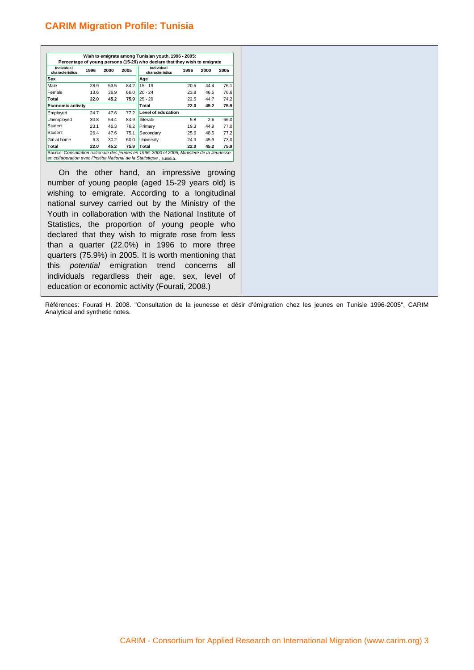| Wish to emigrate among Tunisian youth, 1996 - 2005:<br>Percentage of young persons (15-29) who declare that they wish to emigrate |      |      |       |                               |      |      |      |
|-----------------------------------------------------------------------------------------------------------------------------------|------|------|-------|-------------------------------|------|------|------|
| Individual<br>characteristics                                                                                                     | 1996 | 2000 | 2005  | Individual<br>characteristics | 1996 | 2000 | 2005 |
| Sex                                                                                                                               |      |      |       | Age                           |      |      |      |
| Male                                                                                                                              | 28.9 | 53.5 | 84.2  | $15 - 19$                     | 20.5 | 44.4 | 76.1 |
| Female                                                                                                                            | 13.6 | 36.9 | 66.0  | $20 - 24$                     | 23.8 | 46.5 | 76.6 |
| Total                                                                                                                             | 22.0 | 45.2 | 75.9  | $25 - 29$                     | 22.5 | 44.7 | 74.2 |
| <b>Economic activity</b>                                                                                                          |      |      | Total | 22.0                          | 45.2 | 75.9 |      |
| Employed                                                                                                                          | 24.7 | 47.6 | 77.2  | <b>Level of education</b>     |      |      |      |
| Unemployed                                                                                                                        | 30.8 | 54.4 | 84.9  | <b>Illiterate</b>             | 5.8  | 2.6  | 66.0 |
| Student                                                                                                                           | 23.1 | 46.3 | 76.2  | Primary                       | 19.3 | 44.9 | 77.0 |
| Student                                                                                                                           | 26.4 | 47.6 | 75.1  | Secondary                     | 25.6 | 48.5 | 77.2 |
| Girl at home                                                                                                                      | 6.3  | 30.2 | 60.0  | University                    | 24.3 | 45.9 | 73.0 |
| Total                                                                                                                             | 22.0 | 45.2 | 75.9  | Total                         | 22.0 | 45.2 | 75.9 |

On the other hand, an impressive growing number of young people (aged 15-29 years old) is wishing to emigrate. According to a longitudinal national survey carried out by the Ministry of the Youth in collaboration with the National Institute of Statistics, the proportion of young people who declared that they wish to migrate rose from less than a quarter (22.0%) in 1996 to more three quarters (75.9%) in 2005. It is worth mentioning that this *potential* emigration trend concerns all individuals regardless their age, sex, level of education or economic activity (Fourati, 2008.)

Références: Fourati H. 2008. "Consultation de la jeunesse et désir d'émigration chez les jeunes en Tunisie 1996-2005", CARIM Analytical and synthetic notes.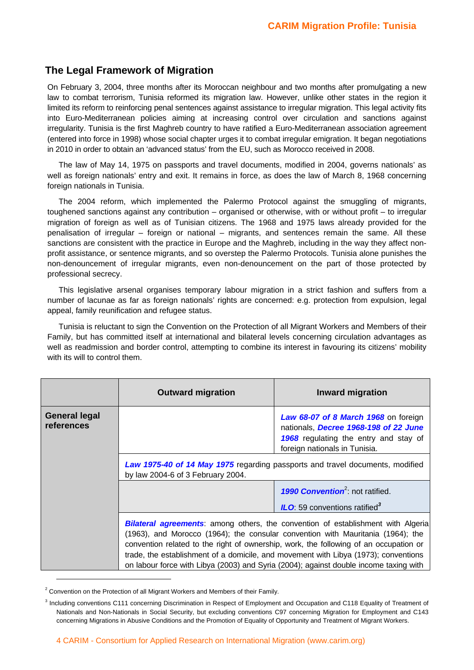#### **The Legal Framework of Migration**

On February 3, 2004, three months after its Moroccan neighbour and two months after promulgating a new law to combat terrorism, Tunisia reformed its migration law. However, unlike other states in the region it limited its reform to reinforcing penal sentences against assistance to irregular migration. This legal activity fits into Euro-Mediterranean policies aiming at increasing control over circulation and sanctions against irregularity. Tunisia is the first Maghreb country to have ratified a Euro-Mediterranean association agreement (entered into force in 1998) whose social chapter urges it to combat irregular emigration. It began negotiations in 2010 in order to obtain an 'advanced status' from the EU, such as Morocco received in 2008.

The law of May 14, 1975 on passports and travel documents, modified in 2004, governs nationals' as well as foreign nationals' entry and exit. It remains in force, as does the law of March 8, 1968 concerning foreign nationals in Tunisia.

The 2004 reform, which implemented the Palermo Protocol against the smuggling of migrants, toughened sanctions against any contribution – organised or otherwise, with or without profit – to irregular migration of foreign as well as of Tunisian citizens. The 1968 and 1975 laws already provided for the penalisation of irregular – foreign or national – migrants, and sentences remain the same. All these sanctions are consistent with the practice in Europe and the Maghreb, including in the way they affect nonprofit assistance, or sentence migrants, and so overstep the Palermo Protocols. Tunisia alone punishes the non-denouncement of irregular migrants, even non-denouncement on the part of those protected by professional secrecy.

This legislative arsenal organises temporary labour migration in a strict fashion and suffers from a number of lacunae as far as foreign nationals' rights are concerned: e.g. protection from expulsion, legal appeal, family reunification and refugee status.

Tunisia is reluctant to sign the Convention on the Protection of all Migrant Workers and Members of their Family, but has committed itself at international and bilateral levels concerning circulation advantages as well as readmission and border control, attempting to combine its interest in favouring its citizens' mobility with its will to control them.

|                                    | <b>Outward migration</b>                                                                                                                                                                                                                                                                                                                                                                                                                            | <b>Inward migration</b>                                                                                                                                 |  |  |  |
|------------------------------------|-----------------------------------------------------------------------------------------------------------------------------------------------------------------------------------------------------------------------------------------------------------------------------------------------------------------------------------------------------------------------------------------------------------------------------------------------------|---------------------------------------------------------------------------------------------------------------------------------------------------------|--|--|--|
| <b>General legal</b><br>references |                                                                                                                                                                                                                                                                                                                                                                                                                                                     | Law 68-07 of 8 March 1968 on foreign<br>nationals, Decree 1968-198 of 22 June<br>1968 regulating the entry and stay of<br>foreign nationals in Tunisia. |  |  |  |
|                                    | Law 1975-40 of 14 May 1975 regarding passports and travel documents, modified<br>by law 2004-6 of 3 February 2004.                                                                                                                                                                                                                                                                                                                                  |                                                                                                                                                         |  |  |  |
|                                    |                                                                                                                                                                                                                                                                                                                                                                                                                                                     | <b>1990 Convention</b> <sup>2</sup> : not ratified.                                                                                                     |  |  |  |
|                                    |                                                                                                                                                                                                                                                                                                                                                                                                                                                     | <b>ILO</b> : 59 conventions ratified <sup>3</sup>                                                                                                       |  |  |  |
|                                    | <b>Bilateral agreements:</b> among others, the convention of establishment with Algeria<br>(1963), and Morocco (1964); the consular convention with Mauritania (1964); the<br>convention related to the right of ownership, work, the following of an occupation or<br>trade, the establishment of a domicile, and movement with Libya (1973); conventions<br>on labour force with Libya (2003) and Syria (2004); against double income taxing with |                                                                                                                                                         |  |  |  |

 $2$  Convention on the Protection of all Migrant Workers and Members of their Family.

<sup>&</sup>lt;sup>3</sup> Including conventions C111 concerning Discrimination in Respect of Employment and Occupation and C118 Equality of Treatment of Nationals and Non-Nationals in Social Security, but excluding conventions C97 concerning Migration for Employment and C143 concerning Migrations in Abusive Conditions and the Promotion of Equality of Opportunity and Treatment of Migrant Workers.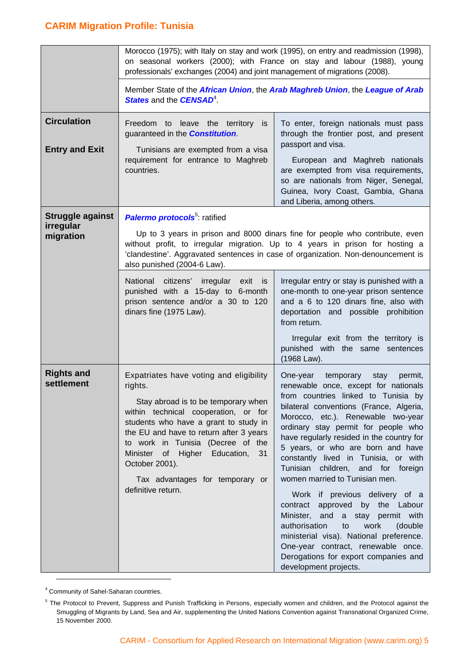|                                 | Morocco (1975); with Italy on stay and work (1995), on entry and readmission (1998),<br>on seasonal workers (2000); with France on stay and labour (1988), young<br>professionals' exchanges (2004) and joint management of migrations (2008).                                                                                                                               |                                                                                                                                                                                                                                                                                                                                                                                                                                                                                                                                                                                                                                                                                                                                                        |  |  |  |
|---------------------------------|------------------------------------------------------------------------------------------------------------------------------------------------------------------------------------------------------------------------------------------------------------------------------------------------------------------------------------------------------------------------------|--------------------------------------------------------------------------------------------------------------------------------------------------------------------------------------------------------------------------------------------------------------------------------------------------------------------------------------------------------------------------------------------------------------------------------------------------------------------------------------------------------------------------------------------------------------------------------------------------------------------------------------------------------------------------------------------------------------------------------------------------------|--|--|--|
|                                 | Member State of the African Union, the Arab Maghreb Union, the League of Arab<br><b>States and the CENSAD<sup>4</sup>.</b>                                                                                                                                                                                                                                                   |                                                                                                                                                                                                                                                                                                                                                                                                                                                                                                                                                                                                                                                                                                                                                        |  |  |  |
| <b>Circulation</b>              | Freedom to leave the territory is<br>guaranteed in the <b>Constitution</b> .                                                                                                                                                                                                                                                                                                 | To enter, foreign nationals must pass<br>through the frontier post, and present<br>passport and visa.                                                                                                                                                                                                                                                                                                                                                                                                                                                                                                                                                                                                                                                  |  |  |  |
| <b>Entry and Exit</b>           | Tunisians are exempted from a visa<br>requirement for entrance to Maghreb<br>countries.                                                                                                                                                                                                                                                                                      | European and Maghreb nationals<br>are exempted from visa requirements,<br>so are nationals from Niger, Senegal,<br>Guinea, Ivory Coast, Gambia, Ghana<br>and Liberia, among others.                                                                                                                                                                                                                                                                                                                                                                                                                                                                                                                                                                    |  |  |  |
| Struggle against                | <b>Palermo protocols</b> <sup>5</sup> ratified                                                                                                                                                                                                                                                                                                                               |                                                                                                                                                                                                                                                                                                                                                                                                                                                                                                                                                                                                                                                                                                                                                        |  |  |  |
| irregular<br>migration          | Up to 3 years in prison and 8000 dinars fine for people who contribute, even<br>without profit, to irregular migration. Up to 4 years in prison for hosting a<br>'clandestine'. Aggravated sentences in case of organization. Non-denouncement is<br>also punished (2004-6 Law).                                                                                             |                                                                                                                                                                                                                                                                                                                                                                                                                                                                                                                                                                                                                                                                                                                                                        |  |  |  |
|                                 | National citizens' irregular<br>exit<br><b>is</b><br>punished with a 15-day to 6-month<br>prison sentence and/or a 30 to 120<br>dinars fine (1975 Law).                                                                                                                                                                                                                      | Irregular entry or stay is punished with a<br>one-month to one-year prison sentence<br>and a 6 to 120 dinars fine, also with<br>deportation and possible prohibition<br>from return.                                                                                                                                                                                                                                                                                                                                                                                                                                                                                                                                                                   |  |  |  |
|                                 |                                                                                                                                                                                                                                                                                                                                                                              | Irregular exit from the territory is<br>punished with the same sentences<br>(1968 Law).                                                                                                                                                                                                                                                                                                                                                                                                                                                                                                                                                                                                                                                                |  |  |  |
| <b>Rights and</b><br>settlement | Expatriates have voting and eligibility<br>rights.<br>Stay abroad is to be temporary when<br>within technical cooperation, or for<br>students who have a grant to study in<br>the EU and have to return after 3 years<br>to work in Tunisia (Decree of the<br>Minister of Higher Education,<br>31<br>October 2001).<br>Tax advantages for temporary or<br>definitive return. | One-year<br>temporary<br>stay<br>permit,<br>renewable once, except for nationals<br>from countries linked to Tunisia by<br>bilateral conventions (France, Algeria,<br>Morocco, etc.). Renewable two-year<br>ordinary stay permit for people who<br>have regularly resided in the country for<br>5 years, or who are born and have<br>constantly lived in Tunisia, or with<br>Tunisian children, and for foreign<br>women married to Tunisian men.<br>Work if previous delivery of a<br>contract approved by the Labour<br>Minister, and a stay permit with<br>authorisation<br>work<br>(double<br>to<br>ministerial visa). National preference.<br>One-year contract, renewable once.<br>Derogations for export companies and<br>development projects. |  |  |  |

<sup>4</sup> Community of Sahel-Saharan countries.

<sup>&</sup>lt;sup>5</sup> The Protocol to Prevent, Suppress and Punish Trafficking in Persons, especially women and children, and the Protocol against the Smuggling of Migrants by Land, Sea and Air, supplementing the United Nations Convention against Transnational Organized Crime, 15 November 2000.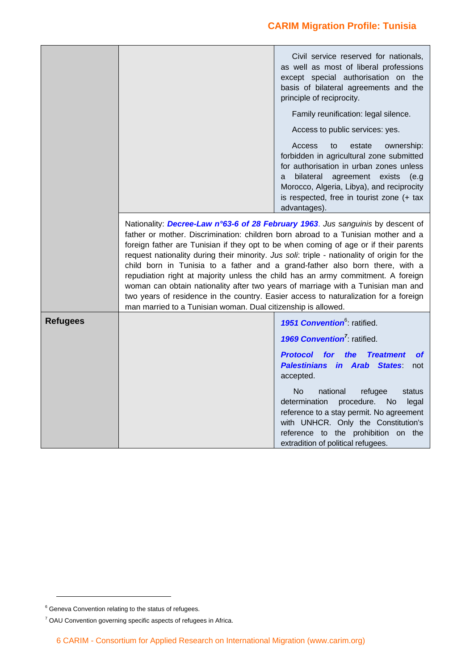|                 |                                                                                                                                                                                                                                                                                                                                                                                                                                                                                                                                                                                                                                                                                                                                                                              | Civil service reserved for nationals,<br>as well as most of liberal professions<br>except special authorisation on the<br>basis of bilateral agreements and the<br>principle of reciprocity.                                                                                     |  |  |  |
|-----------------|------------------------------------------------------------------------------------------------------------------------------------------------------------------------------------------------------------------------------------------------------------------------------------------------------------------------------------------------------------------------------------------------------------------------------------------------------------------------------------------------------------------------------------------------------------------------------------------------------------------------------------------------------------------------------------------------------------------------------------------------------------------------------|----------------------------------------------------------------------------------------------------------------------------------------------------------------------------------------------------------------------------------------------------------------------------------|--|--|--|
|                 |                                                                                                                                                                                                                                                                                                                                                                                                                                                                                                                                                                                                                                                                                                                                                                              | Family reunification: legal silence.                                                                                                                                                                                                                                             |  |  |  |
|                 |                                                                                                                                                                                                                                                                                                                                                                                                                                                                                                                                                                                                                                                                                                                                                                              | Access to public services: yes.                                                                                                                                                                                                                                                  |  |  |  |
|                 |                                                                                                                                                                                                                                                                                                                                                                                                                                                                                                                                                                                                                                                                                                                                                                              | Access<br>estate<br>ownership:<br>to<br>forbidden in agricultural zone submitted<br>for authorisation in urban zones unless<br>bilateral agreement exists<br>(e.g<br>a<br>Morocco, Algeria, Libya), and reciprocity<br>is respected, free in tourist zone (+ tax<br>advantages). |  |  |  |
|                 | Nationality: Decree-Law n°63-6 of 28 February 1963. Jus sanguinis by descent of<br>father or mother. Discrimination: children born abroad to a Tunisian mother and a<br>foreign father are Tunisian if they opt to be when coming of age or if their parents<br>request nationality during their minority. Jus soli: triple - nationality of origin for the<br>child born in Tunisia to a father and a grand-father also born there, with a<br>repudiation right at majority unless the child has an army commitment. A foreign<br>woman can obtain nationality after two years of marriage with a Tunisian man and<br>two years of residence in the country. Easier access to naturalization for a foreign<br>man married to a Tunisian woman. Dual citizenship is allowed. |                                                                                                                                                                                                                                                                                  |  |  |  |
| <b>Refugees</b> |                                                                                                                                                                                                                                                                                                                                                                                                                                                                                                                                                                                                                                                                                                                                                                              | 1951 Convention <sup>6</sup> : ratified.                                                                                                                                                                                                                                         |  |  |  |
|                 |                                                                                                                                                                                                                                                                                                                                                                                                                                                                                                                                                                                                                                                                                                                                                                              | 1969 Convention <sup>7</sup> : ratified.                                                                                                                                                                                                                                         |  |  |  |
|                 |                                                                                                                                                                                                                                                                                                                                                                                                                                                                                                                                                                                                                                                                                                                                                                              | <b>Protocol</b><br>for<br>the<br><b>Treatment</b><br><b>of</b><br><b>Palestinians in Arab States</b><br>not<br>accepted.                                                                                                                                                         |  |  |  |
|                 |                                                                                                                                                                                                                                                                                                                                                                                                                                                                                                                                                                                                                                                                                                                                                                              | <b>No</b><br>national<br>refugee<br>status<br>procedure.<br>determination<br>N <sub>o</sub><br>legal<br>reference to a stay permit. No agreement<br>with UNHCR. Only the Constitution's<br>reference to the prohibition on the<br>extradition of political refugees.             |  |  |  |

<sup>&</sup>lt;sup>6</sup> Geneva Convention relating to the status of refugees.

 $7$  OAU Convention governing specific aspects of refugees in Africa.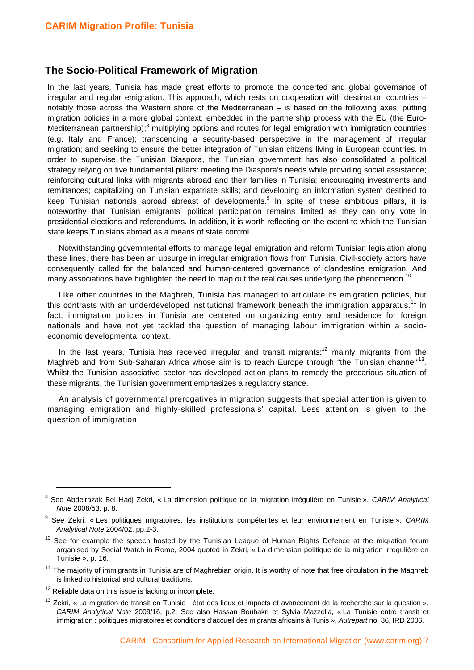#### **The Socio-Political Framework of Migration**

In the last years, Tunisia has made great efforts to promote the concerted and global governance of irregular and regular emigration. This approach, which rests on cooperation with destination countries – notably those across the Western shore of the Mediterranean – is based on the following axes: putting migration policies in a more global context, embedded in the partnership process with the EU (the Euro-Mediterranean partnership);<sup>8</sup> multiplying options and routes for legal emigration with immigration countries (e.g. Italy and France); transcending a security-based perspective in the management of irregular migration; and seeking to ensure the better integration of Tunisian citizens living in European countries. In order to supervise the Tunisian Diaspora, the Tunisian government has also consolidated a political strategy relying on five fundamental pillars: meeting the Diaspora's needs while providing social assistance; reinforcing cultural links with migrants abroad and their families in Tunisia; encouraging investments and remittances; capitalizing on Tunisian expatriate skills; and developing an information system destined to keep Tunisian nationals abroad abreast of developments.<sup>9</sup> In spite of these ambitious pillars, it is noteworthy that Tunisian emigrants' political participation remains limited as they can only vote in presidential elections and referendums. In addition, it is worth reflecting on the extent to which the Tunisian state keeps Tunisians abroad as a means of state control.

Notwithstanding governmental efforts to manage legal emigration and reform Tunisian legislation along these lines, there has been an upsurge in irregular emigration flows from Tunisia. Civil-society actors have consequently called for the balanced and human-centered governance of clandestine emigration. And many associations have highlighted the need to map out the real causes underlying the phenomenon.<sup>10</sup>

Like other countries in the Maghreb, Tunisia has managed to articulate its emigration policies, but this contrasts with an underdeveloped institutional framework beneath the immigration apparatus.<sup>11</sup> In fact, immigration policies in Tunisia are centered on organizing entry and residence for foreign nationals and have not yet tackled the question of managing labour immigration within a socioeconomic developmental context.

In the last years, Tunisia has received irregular and transit migrants: $12$  mainly migrants from the Maghreb and from Sub-Saharan Africa whose aim is to reach Europe through "the Tunisian channel"<sup>13</sup>. Whilst the Tunisian associative sector has developed action plans to remedy the precarious situation of these migrants, the Tunisian government emphasizes a regulatory stance.

An analysis of governmental prerogatives in migration suggests that special attention is given to managing emigration and highly-skilled professionals' capital. Less attention is given to the question of immigration.

- $11$  The maiority of immigrants in Tunisia are of Maghrebian origin. It is worthy of note that free circulation in the Maghreb is linked to historical and cultural traditions.
- $12$  Reliable data on this issue is lacking or incomplete.

 $13$  Zekri, « La migration de transit en Tunisie : état des lieux et impacts et avancement de la recherche sur la question », *CARIM Analytical Note* 2009/16, p.2. See also Hassan Boubakri et Sylvia Mazzella, « La Tunisie entre transit et immigration : politiques migratoires et conditions d'accueil des migrants africains à Tunis », *Autrepart* no. 36, IRD 2006.

<sup>8</sup> See Abdelrazak Bel Hadj Zekri, « La dimension politique de la migration irrégulière en Tunisie », *CARIM Analytical Note* 2008/53, p. 8.

<sup>9</sup> See Zekri, « Les politiques migratoires, les institutions compétentes et leur environnement en Tunisie », *CARIM Analytical Note* 2004/02, pp.2-3.

<sup>&</sup>lt;sup>10</sup> See for example the speech hosted by the Tunisian League of Human Rights Defence at the migration forum organised by Social Watch in Rome, 2004 quoted in Zekri, « La dimension politique de la migration irrégulière en Tunisie », p. 16.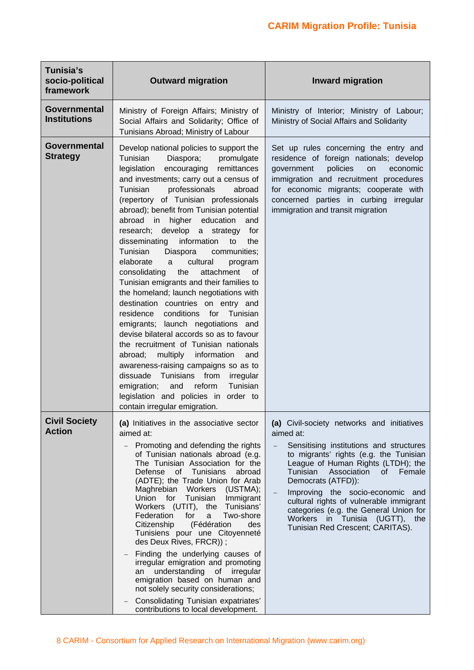| Tunisia's<br>socio-political<br>framework  | <b>Outward migration</b>                                                                                                                                                                                                                                                                                                                                                                                                                                                                                                                                                                                                                                                                                                                                                                                                                                                                                                                                                                                                                                                                  | <b>Inward migration</b>                                                                                                                                                                                                                                                                                                                                                                                                                                          |
|--------------------------------------------|-------------------------------------------------------------------------------------------------------------------------------------------------------------------------------------------------------------------------------------------------------------------------------------------------------------------------------------------------------------------------------------------------------------------------------------------------------------------------------------------------------------------------------------------------------------------------------------------------------------------------------------------------------------------------------------------------------------------------------------------------------------------------------------------------------------------------------------------------------------------------------------------------------------------------------------------------------------------------------------------------------------------------------------------------------------------------------------------|------------------------------------------------------------------------------------------------------------------------------------------------------------------------------------------------------------------------------------------------------------------------------------------------------------------------------------------------------------------------------------------------------------------------------------------------------------------|
| <b>Governmental</b><br><b>Institutions</b> | Ministry of Foreign Affairs; Ministry of<br>Social Affairs and Solidarity; Office of<br>Tunisians Abroad; Ministry of Labour                                                                                                                                                                                                                                                                                                                                                                                                                                                                                                                                                                                                                                                                                                                                                                                                                                                                                                                                                              | Ministry of Interior; Ministry of Labour;<br>Ministry of Social Affairs and Solidarity                                                                                                                                                                                                                                                                                                                                                                           |
| Governmental<br><b>Strategy</b>            | Develop national policies to support the<br>Tunisian<br>Diaspora;<br>promulgate<br>encouraging remittances<br>legislation<br>and investments; carry out a census of<br>Tunisian<br>professionals<br>abroad<br>(repertory of Tunisian professionals<br>abroad); benefit from Tunisian potential<br>abroad in higher education<br>and<br>research; develop a strategy for<br>disseminating<br>information<br>to<br>the<br>Tunisian<br>Diaspora<br>communities;<br>elaborate<br>cultural<br>program<br>a<br>attachment<br>consolidating<br>the<br>0f<br>Tunisian emigrants and their families to<br>the homeland; launch negotiations with<br>destination countries on entry and<br>residence conditions for Tunisian<br>emigrants; launch negotiations and<br>devise bilateral accords so as to favour<br>the recruitment of Tunisian nationals<br>abroad; multiply information<br>and<br>awareness-raising campaigns so as to<br>dissuade Tunisians from<br>irregular<br>Tunisian<br>emigration;<br>and<br>reform<br>legislation and policies in order to<br>contain irregular emigration. | Set up rules concerning the entry and<br>residence of foreign nationals; develop<br>policies<br>government<br>economic<br>on<br>immigration and recruitment procedures<br>for economic migrants; cooperate with<br>concerned parties in curbing irregular<br>immigration and transit migration                                                                                                                                                                   |
| <b>Civil Society</b><br><b>Action</b>      | (a) Initiatives in the associative sector<br>aimed at:<br>Promoting and defending the rights<br>of Tunisian nationals abroad (e.g.<br>The Tunisian Association for the<br>Defense<br>of Tunisians<br>abroad<br>(ADTE); the Trade Union for Arab<br>Maghrebian Workers (USTMA);<br>Tunisian<br>Union for<br>Immigrant<br>Workers (UTIT), the Tunisians'<br>Federation<br>for<br>Two-shore<br>a<br>Citizenship<br>(Fédération<br>des<br>Tunisiens pour une Citoyenneté<br>des Deux Rives, FRCR));<br>Finding the underlying causes of<br>irregular emigration and promoting<br>understanding of irregular<br>an<br>emigration based on human and<br>not solely security considerations;<br>Consolidating Tunisian expatriates'<br>contributions to local development.                                                                                                                                                                                                                                                                                                                       | (a) Civil-society networks and initiatives<br>aimed at:<br>Sensitising institutions and structures<br>$\equiv$<br>to migrants' rights (e.g. the Tunisian<br>League of Human Rights (LTDH); the<br>Tunisian<br>Association<br>Female<br>of l<br>Democrats (ATFD)):<br>Improving the socio-economic and<br>cultural rights of vulnerable immigrant<br>categories (e.g. the General Union for<br>Workers in Tunisia (UGTT), the<br>Tunisian Red Crescent; CARITAS). |